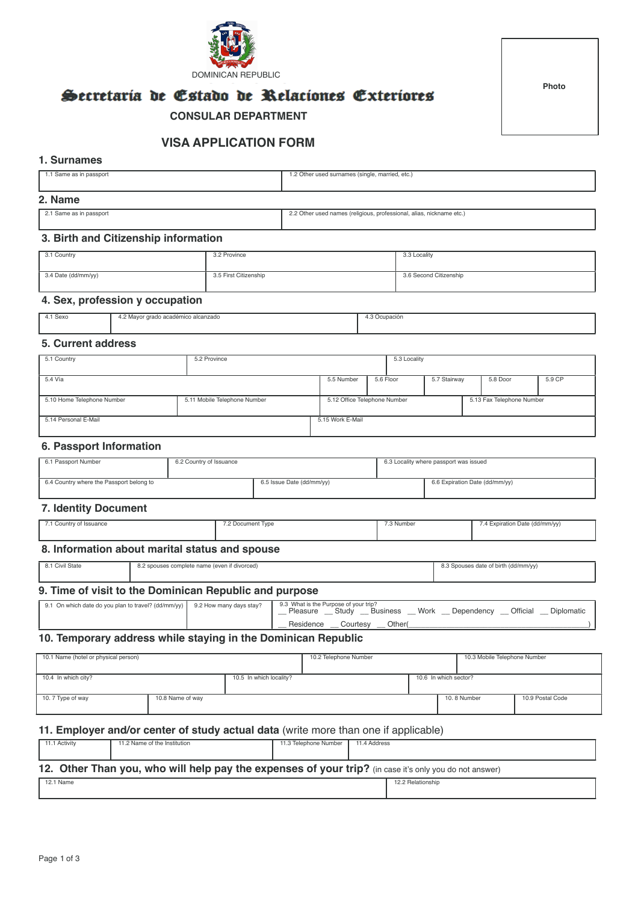

**Photo** 

# Secretaria de Estado de Relaciones Exteriores

 **CONSULAR DEPARTMENT**

# **VISA APPLICATION FORM**

### **1. Surnames**

| 1.1 Same as in passport | 1.2 Other used surnames (single, married, etc.) |
|-------------------------|-------------------------------------------------|
| 2. Name                 |                                                 |

2.1 Same as in passport 2.2 Other used names (religious, professional, alias, nickname etc.)

#### **3. Birth and Citizenship information**

| 3.1 Country         | 3.2 Province          | 3.3 Locality           |
|---------------------|-----------------------|------------------------|
| 3.4 Date (dd/mm/yy) | 3.5 First Citizenship | 3.6 Second Citizenship |

# **4. Sex, profession y occupation**

| 4.1 Sexo | 4.2 Mayor grado académico alcanzado<br>. .<br>. | Ocupación |
|----------|-------------------------------------------------|-----------|
|          |                                                 |           |

# **5. Current address**

| 5.1 Country                                                | 5.2 Province |                              |           | 5.3 Locality |                           |  |          |        |
|------------------------------------------------------------|--------------|------------------------------|-----------|--------------|---------------------------|--|----------|--------|
|                                                            |              |                              |           |              |                           |  |          |        |
| 5.4 Vía                                                    |              | 5.5 Number                   | 5.6 Floor |              | 5.7 Stairway              |  | 5.8 Door | 5.9 CP |
|                                                            |              |                              |           |              |                           |  |          |        |
| 5.11 Mobile Telephone Number<br>5.10 Home Telephone Number |              | 5.12 Office Telephone Number |           |              | 5.13 Fax Telephone Number |  |          |        |
|                                                            |              |                              |           |              |                           |  |          |        |
| 5.14 Personal E-Mail                                       |              | 5.15 Work E-Mail             |           |              |                           |  |          |        |
|                                                            |              |                              |           |              |                           |  |          |        |

#### **6. Passport Information**

| 6.1 Passport Number                      | 6.2 Country of Issuance |                           | 6.3 Locality where passport was issued |
|------------------------------------------|-------------------------|---------------------------|----------------------------------------|
| 6.4 Country where the Passport belong to |                         | 6.5 Issue Date (dd/mm/yy) | 6.6 Expiration Date (dd/mm/yy)         |

# **7. Identity Document**

| 7.1 Country of Issuance | 7.2 Document Type | 3 Number | 7.4 Expiration Date (dd/mm/yy) |
|-------------------------|-------------------|----------|--------------------------------|
|                         |                   |          |                                |

# **8. Information about marital status and spouse**

| l State | ∠ spouses complete name (even if divorced)<br>U.Z | √dd/mm/yy) י<br>$\sim$ $\sim$ $\sim$ $\sim$<br>8.3 Spouses date o<br>.,, |
|---------|---------------------------------------------------|--------------------------------------------------------------------------|
|---------|---------------------------------------------------|--------------------------------------------------------------------------|

# **9. Time of visit to the Dominican Republic and purpose**

| 9.1 On which date do you plan to travel? (dd/mm/yy) 9.2 How many days stay? | 9.3 What is the Purpose of your trip?<br>Pleasure | Study    | Business | ~ Work | Dependency | Official | Diplomatic |
|-----------------------------------------------------------------------------|---------------------------------------------------|----------|----------|--------|------------|----------|------------|
|                                                                             | Residence                                         | Courtesy | Other    |        |            |          |            |

# **10. Temporary address while staying in the Dominican Republic**

| 10.1 Name (hotel or physical person)           |                  | 10.2 Telephone Number |  | 10.3 Mobile Telephone Number |                  |
|------------------------------------------------|------------------|-----------------------|--|------------------------------|------------------|
| 10.5 In which locality?<br>10.4 In which city? |                  | 10.6 In which sector? |  |                              |                  |
| 10.7 Type of way                               | 10.8 Name of way |                       |  | 10, 8 Number                 | 10.9 Postal Code |

### **11. Employer and/or center of study actual data** (write more than one if applicable)

| 11.1 Activity                                                                                          | 11.2 Name of the Institution | 11.3 Telephone Number | 11.4 Address      |  |  |  |  |
|--------------------------------------------------------------------------------------------------------|------------------------------|-----------------------|-------------------|--|--|--|--|
|                                                                                                        |                              |                       |                   |  |  |  |  |
|                                                                                                        |                              |                       |                   |  |  |  |  |
| 12. Other Than you, who will help pay the expenses of your trip? (in case it's only you do not answer) |                              |                       |                   |  |  |  |  |
| 12.1 Name                                                                                              |                              |                       | 12.2 Relationship |  |  |  |  |
|                                                                                                        |                              |                       |                   |  |  |  |  |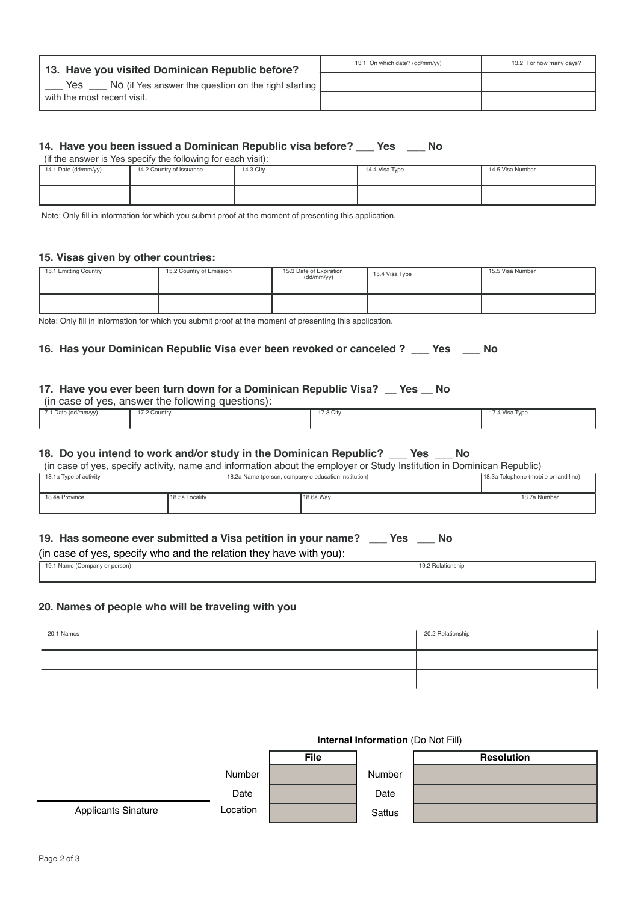| 13. Have you visited Dominican Republic before?             | 13.1 On which date? (dd/mm/yy) | 13.2 For how many days? |
|-------------------------------------------------------------|--------------------------------|-------------------------|
| Yes<br>No (if Yes answer the question on the right starting |                                |                         |
| with the most recent visit.                                 |                                |                         |

# **14. Have you been issued a Dominican Republic visa before? \_\_\_ Yes \_\_\_ No**

(if the answer is Yes specify the following for each visit):

| 14.1 Date (dd/mm/yy) | 14.2 Country of Issuance | 14.3 City | 14.4 Visa Type | 14.5 Visa Number |
|----------------------|--------------------------|-----------|----------------|------------------|
|                      |                          |           |                |                  |

Note: Only fill in information for which you submit proof at the moment of presenting this application.

#### **15. Visas given by other countries:**

| 15.1 Emitting Country | 15.2 Country of Emission | 15.3 Date of Expiration<br>(dd/mm/yy) | 15.4 Visa Type | 15.5 Visa Number |
|-----------------------|--------------------------|---------------------------------------|----------------|------------------|
|                       |                          |                                       |                |                  |

Note: Only fill in information for which you submit proof at the moment of presenting this application.

# **16. Has your Dominican Republic Visa ever been revoked or canceled ? \_\_\_ Yes \_\_\_ No**

#### **17. Have you ever been turn down for a Dominican Republic Visa? \_\_ Yes \_\_ No**  (in case of yes, answer the following questions):

| (iii case of yes, allower the following questions). |              |           |                |  |  |
|-----------------------------------------------------|--------------|-----------|----------------|--|--|
| 17.1 Date (dd/mm/yy)                                | 17.2 Country | 17.3 City | 17.4 Visa Type |  |  |

#### **18. Do you intend to work and/or study in the Dominican Republic? \_\_\_ Yes \_\_\_ No**

(in case of yes, specify activity, name and information about the employer or Study Institution in Dominican Republic)

| 18.1a Type of activity |                | 18.2a Name (person, company o education institution) |             | 18.3a Telephone (mobile or land line) |
|------------------------|----------------|------------------------------------------------------|-------------|---------------------------------------|
| 18.4a Province         | 18.5a Locality |                                                      | l 18.6a Wav | 18.7a Number                          |

# **19. Has someone ever submitted a Visa petition in your name? \_\_\_ Yes \_\_\_ No**

#### (in case of yes, specify who and the relation they have with you):

| y.1 Name (Company or person)، |  | ⊀elationshir |
|-------------------------------|--|--------------|
|                               |  |              |
|                               |  |              |

#### **20. Names of people who will be traveling with you**

| 20.1 Names | 20.2 Relationship |
|------------|-------------------|
|            |                   |
|            |                   |